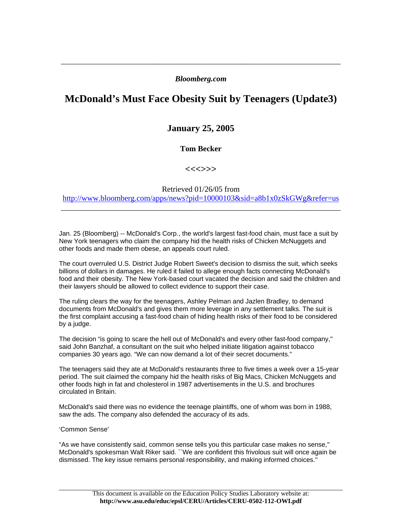### *Bloomberg.com*

\_\_\_\_\_\_\_\_\_\_\_\_\_\_\_\_\_\_\_\_\_\_\_\_\_\_\_\_\_\_\_\_\_\_\_\_\_\_\_\_\_\_\_\_\_\_\_\_\_\_\_\_\_\_\_\_\_\_\_\_\_\_\_\_\_\_\_\_\_\_\_

# **McDonald's Must Face Obesity Suit by Teenagers (Update3)**

## **January 25, 2005**

### **Tom Becker**

**<<<>>>** 

Retrieved 01/26/05 from http://www.bloomberg.com/apps/news?pid=10000103&sid=a8b1x0zSkGWg&refer=us

\_\_\_\_\_\_\_\_\_\_\_\_\_\_\_\_\_\_\_\_\_\_\_\_\_\_\_\_\_\_\_\_\_\_\_\_\_\_\_\_\_\_\_\_\_\_\_\_\_\_\_\_\_\_\_\_\_\_\_\_\_\_\_\_\_\_\_\_\_\_\_

Jan. 25 (Bloomberg) -- McDonald's Corp., the world's largest fast-food chain, must face a suit by New York teenagers who claim the company hid the health risks of Chicken McNuggets and other foods and made them obese, an appeals court ruled.

The court overruled U.S. District Judge Robert Sweet's decision to dismiss the suit, which seeks billions of dollars in damages. He ruled it failed to allege enough facts connecting McDonald's food and their obesity. The New York-based court vacated the decision and said the children and their lawyers should be allowed to collect evidence to support their case.

The ruling clears the way for the teenagers, Ashley Pelman and Jazlen Bradley, to demand documents from McDonald's and gives them more leverage in any settlement talks. The suit is the first complaint accusing a fast-food chain of hiding health risks of their food to be considered by a judge.

The decision "is going to scare the hell out of McDonald's and every other fast-food company,'' said John Banzhaf, a consultant on the suit who helped initiate litigation against tobacco companies 30 years ago. "We can now demand a lot of their secret documents."

The teenagers said they ate at McDonald's restaurants three to five times a week over a 15-year period. The suit claimed the company hid the health risks of Big Macs, Chicken McNuggets and other foods high in fat and cholesterol in 1987 advertisements in the U.S. and brochures circulated in Britain.

McDonald's said there was no evidence the teenage plaintiffs, one of whom was born in 1988, saw the ads. The company also defended the accuracy of its ads.

#### 'Common Sense'

"As we have consistently said, common sense tells you this particular case makes no sense,'' McDonald's spokesman Walt Riker said. ``We are confident this frivolous suit will once again be dismissed. The key issue remains personal responsibility, and making informed choices.''